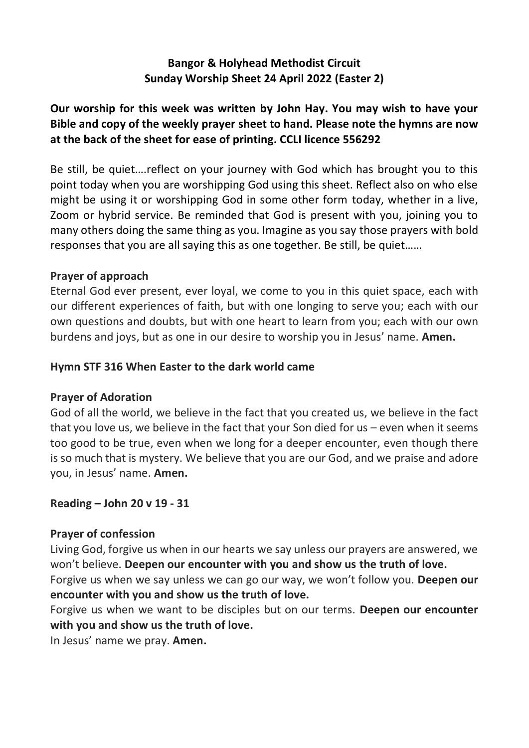## **Bangor & Holyhead Methodist Circuit Sunday Worship Sheet 24 April 2022 (Easter 2)**

# **Our worship for this week was written by John Hay. You may wish to have your Bible and copy of the weekly prayer sheet to hand. Please note the hymns are now at the back of the sheet for ease of printing. CCLI licence 556292**

Be still, be quiet….reflect on your journey with God which has brought you to this point today when you are worshipping God using this sheet. Reflect also on who else might be using it or worshipping God in some other form today, whether in a live, Zoom or hybrid service. Be reminded that God is present with you, joining you to many others doing the same thing as you. Imagine as you say those prayers with bold responses that you are all saying this as one together. Be still, be quiet……

## **Prayer of approach**

Eternal God ever present, ever loyal, we come to you in this quiet space, each with our different experiences of faith, but with one longing to serve you; each with our own questions and doubts, but with one heart to learn from you; each with our own burdens and joys, but as one in our desire to worship you in Jesus' name. **Amen.**

### **Hymn STF 316 When Easter to the dark world came**

## **Prayer of Adoration**

God of all the world, we believe in the fact that you created us, we believe in the fact that you love us, we believe in the fact that your Son died for us – even when it seems too good to be true, even when we long for a deeper encounter, even though there is so much that is mystery. We believe that you are our God, and we praise and adore you, in Jesus' name. **Amen.**

### **Reading – John 20 v 19 - 31**

## **Prayer of confession**

Living God, forgive us when in our hearts we say unless our prayers are answered, we won't believe. **Deepen our encounter with you and show us the truth of love.**

Forgive us when we say unless we can go our way, we won't follow you. **Deepen our encounter with you and show us the truth of love.**

Forgive us when we want to be disciples but on our terms. **Deepen our encounter with you and show us the truth of love.**

In Jesus' name we pray. **Amen.**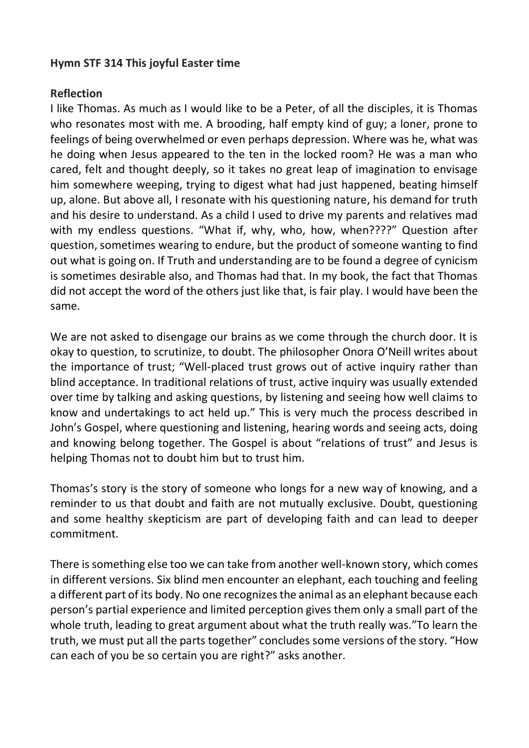### **Hymn STF 314 This joyful Easter time**

## **Reflection**

I like Thomas. As much as I would like to be a Peter, of all the disciples, it is Thomas who resonates most with me. A brooding, half empty kind of guy; a loner, prone to feelings of being overwhelmed or even perhaps depression. Where was he, what was he doing when Jesus appeared to the ten in the locked room? He was a man who cared, felt and thought deeply, so it takes no great leap of imagination to envisage him somewhere weeping, trying to digest what had just happened, beating himself up, alone. But above all, I resonate with his questioning nature, his demand for truth and his desire to understand. As a child I used to drive my parents and relatives mad with my endless questions. "What if, why, who, how, when????" Question after question, sometimes wearing to endure, but the product of someone wanting to find out what is going on. If Truth and understanding are to be found a degree of cynicism is sometimes desirable also, and Thomas had that. In my book, the fact that Thomas did not accept the word of the others just like that, is fair play. I would have been the same.

We are not asked to disengage our brains as we come through the church door. It is okay to question, to scrutinize, to doubt. The philosopher Onora O'Neill writes about the importance of trust; "Well-placed trust grows out of active inquiry rather than blind acceptance. In traditional relations of trust, active inquiry was usually extended over time by talking and asking questions, by listening and seeing how well claims to know and undertakings to act held up." This is very much the process described in John's Gospel, where questioning and listening, hearing words and seeing acts, doing and knowing belong together. The Gospel is about "relations of trust" and Jesus is helping Thomas not to doubt him but to trust him.

Thomas's story is the story of someone who longs for a new way of knowing, and a reminder to us that doubt and faith are not mutually exclusive. Doubt, questioning and some healthy skepticism are part of developing faith and can lead to deeper commitment.

There is something else too we can take from another well-known story, which comes in different versions. Six blind men encounter an elephant, each touching and feeling a different part of its body. No one recognizes the animal as an elephant because each person's partial experience and limited perception gives them only a small part of the whole truth, leading to great argument about what the truth really was."To learn the truth, we must put all the parts together" concludes some versions of the story. "How can each of you be so certain you are right?" asks another.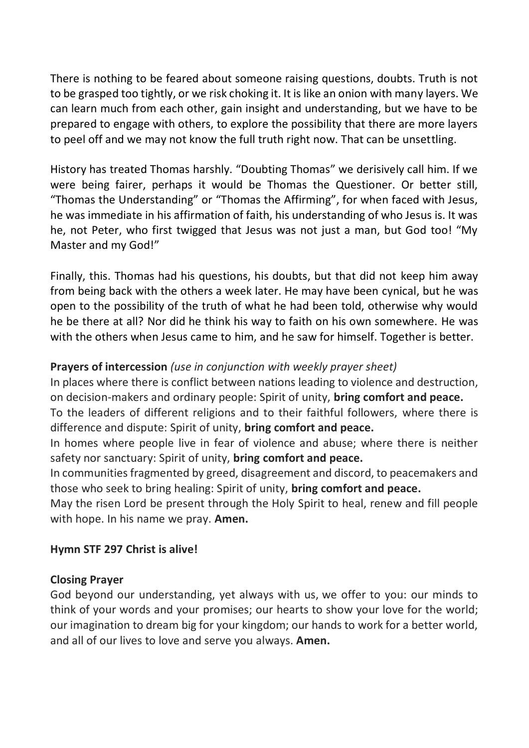There is nothing to be feared about someone raising questions, doubts. Truth is not to be grasped too tightly, or we risk choking it. It is like an onion with many layers. We can learn much from each other, gain insight and understanding, but we have to be prepared to engage with others, to explore the possibility that there are more layers to peel off and we may not know the full truth right now. That can be unsettling.

History has treated Thomas harshly. "Doubting Thomas" we derisively call him. If we were being fairer, perhaps it would be Thomas the Questioner. Or better still, "Thomas the Understanding" or "Thomas the Affirming", for when faced with Jesus, he was immediate in his affirmation of faith, his understanding of who Jesus is. It was he, not Peter, who first twigged that Jesus was not just a man, but God too! "My Master and my God!"

Finally, this. Thomas had his questions, his doubts, but that did not keep him away from being back with the others a week later. He may have been cynical, but he was open to the possibility of the truth of what he had been told, otherwise why would he be there at all? Nor did he think his way to faith on his own somewhere. He was with the others when Jesus came to him, and he saw for himself. Together is better.

## **Prayers of intercession** *(use in conjunction with weekly prayer sheet)*

In places where there is conflict between nations leading to violence and destruction, on decision-makers and ordinary people: Spirit of unity, **bring comfort and peace.** To the leaders of different religions and to their faithful followers, where there is

difference and dispute: Spirit of unity, **bring comfort and peace.**

In homes where people live in fear of violence and abuse; where there is neither safety nor sanctuary: Spirit of unity, **bring comfort and peace.**

In communities fragmented by greed, disagreement and discord, to peacemakers and those who seek to bring healing: Spirit of unity, **bring comfort and peace.**

May the risen Lord be present through the Holy Spirit to heal, renew and fill people with hope. In his name we pray. **Amen.**

## **Hymn STF 297 Christ is alive!**

### **Closing Prayer**

God beyond our understanding, yet always with us, we offer to you: our minds to think of your words and your promises; our hearts to show your love for the world; our imagination to dream big for your kingdom; our hands to work for a better world, and all of our lives to love and serve you always. **Amen.**